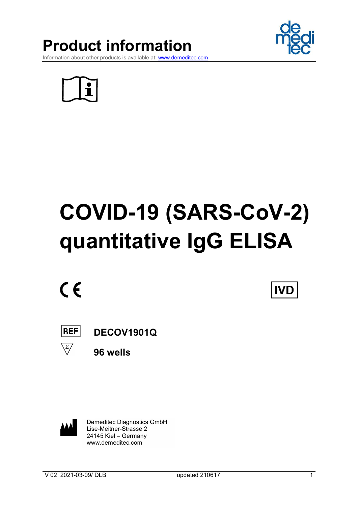





**IVD** 

Information about other products is available at: www.demeditec.com



# COVID-19 (SARS-CoV-2) quantitative IgG ELISA

 $C \in$ 

 $|REF|$ 

 $\overline{\Sigma/}$ 

DECOV1901Q

96 wells

 Demeditec Diagnostics GmbH Lise-Meitner-Strasse 2 24145 Kiel – Germany www.demeditec.com

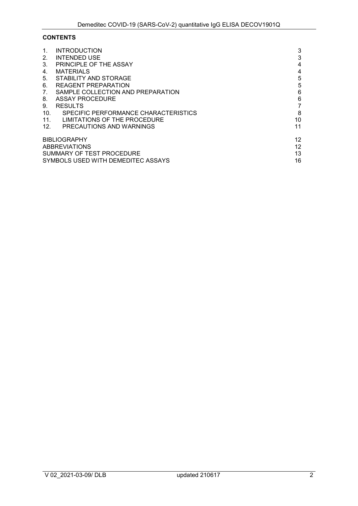# **CONTENTS**

| <b>INTRODUCTION</b>                  | 3                                                                                                              |
|--------------------------------------|----------------------------------------------------------------------------------------------------------------|
| INTENDED USE                         | 3                                                                                                              |
| PRINCIPLE OF THE ASSAY               | 4                                                                                                              |
| <b>MATERIALS</b>                     | 4                                                                                                              |
| STABILITY AND STORAGE                | 5                                                                                                              |
| <b>REAGENT PREPARATION</b>           | 5                                                                                                              |
| SAMPLE COLLECTION AND PREPARATION    | 6                                                                                                              |
| ASSAY PROCEDURE                      | 6                                                                                                              |
| <b>RESULTS</b>                       | 7                                                                                                              |
| SPECIFIC PERFORMANCE CHARACTERISTICS | 8                                                                                                              |
| LIMITATIONS OF THE PROCEDURE         | 10                                                                                                             |
| PRECAUTIONS AND WARNINGS             | 11                                                                                                             |
|                                      | 12                                                                                                             |
|                                      | 12                                                                                                             |
|                                      | 13                                                                                                             |
|                                      | 16                                                                                                             |
|                                      | <b>BIBLIOGRAPHY</b><br><b>ABBREVIATIONS</b><br>SUMMARY OF TEST PROCEDURE<br>SYMBOLS USED WITH DEMEDITEC ASSAYS |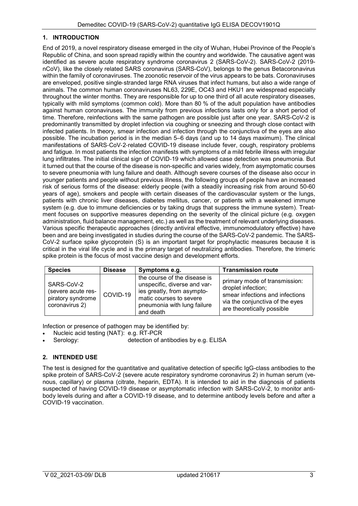## 1. INTRODUCTION

End of 2019, a novel respiratory disease emerged in the city of Wuhan, Hubei Province of the People's Republic of China, and soon spread rapidly within the country and worldwide. The causative agent was identified as severe acute respiratory syndrome coronavirus 2 (SARS-CoV-2). SARS-CoV-2 (2019 nCoV), like the closely related SARS coronavirus (SARS-CoV), belongs to the genus Betacoronavirus within the family of coronaviruses. The zoonotic reservoir of the virus appears to be bats. Coronaviruses are enveloped, positive single‐stranded large RNA viruses that infect humans, but also a wide range of animals. The common human coronaviruses NL63, 229E, OC43 and HKU1 are widespread especially throughout the winter months. They are responsible for up to one third of all acute respiratory diseases, typically with mild symptoms (common cold). More than 80 % of the adult population have antibodies against human coronaviruses. The immunity from previous infections lasts only for a short period of time. Therefore, reinfections with the same pathogen are possible just after one year. SARS-CoV-2 is predominantly transmitted by droplet infection via coughing or sneezing and through close contact with infected patients. In theory, smear infection and infection through the conjunctiva of the eyes are also possible. The incubation period is in the median 5–6 days (and up to 14 days maximum). The clinical manifestations of SARS‐CoV‐2‐related COVID-19 disease include fever, cough, respiratory problems and fatigue. In most patients the infection manifests with symptoms of a mild febrile illness with irregular lung infiltrates. The initial clinical sign of COVID‐19 which allowed case detection was pneumonia. But it turned out that the course of the disease is non-specific and varies widely, from asymptomatic courses to severe pneumonia with lung failure and death. Although severe courses of the disease also occur in younger patients and people without previous illness, the following groups of people have an increased risk of serious forms of the disease: elderly people (with a steadily increasing risk from around 50-60 years of age), smokers and people with certain diseases of the cardiovascular system or the lungs, patients with chronic liver diseases, diabetes mellitus, cancer, or patients with a weakened immune system (e.g. due to immune deficiencies or by taking drugs that suppress the immune system). Treatment focuses on supportive measures depending on the severity of the clinical picture (e.g. oxygen administration, fluid balance management, etc.) as well as the treatment of relevant underlying diseases. Various specific therapeutic approaches (directly antiviral effective, immunomodulatory effective) have been and are being investigated in studies during the course of the SARS-CoV-2 pandemic. The SARS-CoV-2 surface spike glycoprotein (S) is an important target for prophylactic measures because it is critical in the viral life cycle and is the primary target of neutralizing antibodies. Therefore, the trimeric spike protein is the focus of most vaccine design and development efforts.

| <b>Species</b>                                                          | <b>Disease</b> | Symptoms e.g.                                                                                                                                                     | <b>Transmission route</b>                                                                                                                               |
|-------------------------------------------------------------------------|----------------|-------------------------------------------------------------------------------------------------------------------------------------------------------------------|---------------------------------------------------------------------------------------------------------------------------------------------------------|
| SARS-CoV-2<br>(severe acute res-<br>piratory syndrome<br>coronavirus 2) | COVID-19       | the course of the disease is<br>unspecific, diverse and var-<br>ies greatly, from asympto-<br>matic courses to severe<br>pneumonia with lung failure<br>and death | primary mode of transmission:<br>droplet infection;<br>smear infections and infections<br>via the conjunctiva of the eyes<br>are theoretically possible |

Infection or presence of pathogen may be identified by:

- Nucleic acid testing (NAT): e.g. RT-PCR
- Serology: detection of antibodies by e.g. ELISA

## 2. INTENDED USE

The test is designed for the quantitative and qualitative detection of specific IgG-class antibodies to the spike protein of SARS-CoV-2 (severe acute respiratory syndrome coronavirus 2) in human serum (venous, capillary) or plasma (citrate, heparin, EDTA). It is intended to aid in the diagnosis of patients suspected of having COVID-19 disease or asymptomatic infection with SARS-CoV-2, to monitor antibody levels during and after a COVID-19 disease, and to determine antibody levels before and after a COVID-19 vaccination.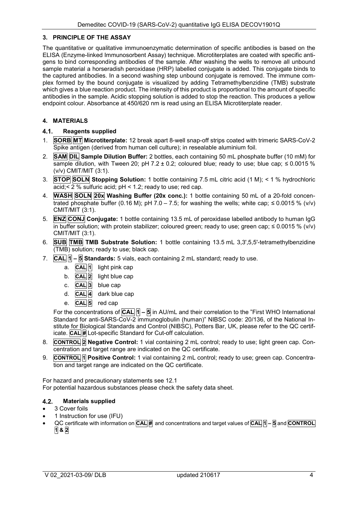#### 3. PRINCIPLE OF THE ASSAY

The quantitative or qualitative immunoenzymatic determination of specific antibodies is based on the ELISA (Enzyme-linked Immunosorbent Assay) technique. Microtiterplates are coated with specific antigens to bind corresponding antibodies of the sample. After washing the wells to remove all unbound sample material a horseradish peroxidase (HRP) labelled conjugate is added. This conjugate binds to the captured antibodies. In a second washing step unbound conjugate is removed. The immune complex formed by the bound conjugate is visualized by adding Tetramethylbenzidine (TMB) substrate which gives a blue reaction product. The intensity of this product is proportional to the amount of specific antibodies in the sample. Acidic stopping solution is added to stop the reaction. This produces a yellow endpoint colour. Absorbance at 450/620 nm is read using an ELISA Microtiterplate reader.

## 4. MATERIALS

## 4.1. Reagents supplied

- 1. SORB MT Microtiterplate: 12 break apart 8-well snap-off strips coated with trimeric SARS-CoV-2 Spike antigen (derived from human cell culture); in resealable aluminium foil.
- 2. **SAM DIL Sample Dilution Buffer:** 2 bottles, each containing 50 mL phosphate buffer (10 mM) for sample dilution, with Tween 20; pH 7.2  $\pm$  0.2; coloured blue; ready to use; blue cap;  $\leq$  0.0015 % (v/v) CMIT/MIT (3:1).
- 3. **STOP SOLN Stopping Solution:** 1 bottle containing 7.5 mL citric acid (1 M);  $\lt$  1 % hydrochloric  $\overline{\text{acid}}$ ;  $\leq$  2 % sulfuric acid; pH  $\leq$  1.2; ready to use; red cap.
- 4. WASH SOLN 20x Washing Buffer (20x conc.): 1 bottle containing 50 mL of a 20-fold concentrated phosphate buffer (0.16 M); pH 7.0 – 7.5; for washing the wells; white cap;  $\leq 0.0015$  % (v/v) CMIT/MIT (3:1).
- 5. **ENZ CONJ Conjugate:** 1 bottle containing 13.5 mL of peroxidase labelled antibody to human IgG in buffer solution; with protein stabilizer; coloured green; ready to use; green cap;  $\leq 0.0015$  % (v/v) CMIT/MIT (3:1).
- 6. SUB TMB TMB Substrate Solution: 1 bottle containing 13.5 mL 3,3',5,5'-tetramethylbenzidine (TMB) solution; ready to use; black cap.
- 7.  $\overline{CAL}$   $\overline{1}$   $\overline{5}$  Standards: 5 vials, each containing 2 mL standard; ready to use.
	- a.  $\overline{CAL}$  1 light pink cap
	- b. **CAL 2** light blue cap
	- c. **CAL<sup>3</sup>** blue cap
	- d.  **dark blue cap**
	- e. CAL 5 red cap

For the concentrations of  $\overline{CAL} \overline{A} - \overline{5}$  in AU/mL and their correlation to the "First WHO International Standard for anti-SARS-CoV-2 immunoglobulin (human)" NIBSC code: 20/136, of the National Institute for Biological Standards and Control (NIBSC), Potters Bar, UK, please refer to the QC certificate. CAL # Lot-specific Standard for Cut-off calculation.

- 8. **CONTROL 2 Negative Control:** 1 vial containing 2 mL control; ready to use; light green cap. Concentration and target range are indicated on the QC certificate.
- 9. CONTROL 1 Positive Control: 1 vial containing 2 mL control; ready to use; green cap. Concentration and target range are indicated on the QC certificate.

For hazard and precautionary statements see 12.1

For potential hazardous substances please check the safety data sheet.

# 4.2. Materials supplied

- 3 Cover foils
- 1 Instruction for use (IFU)
- QC certificate with information on  $\overline{CAL}$  and concentrations and target values of  $\overline{CAL}$   $\overline{1}$   $\overline{5}$  and  $\overline{CONTROL}$  $182$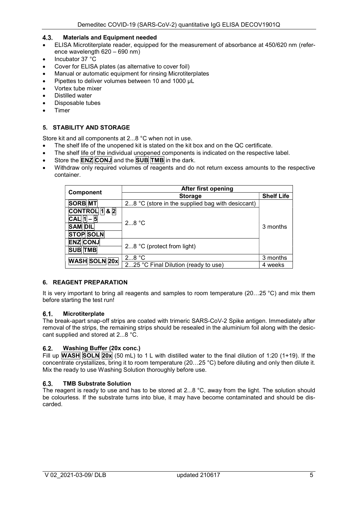## 4.3. Materials and Equipment needed

- ELISA Microtiterplate reader, equipped for the measurement of absorbance at 450/620 nm (reference wavelength 620 – 690 nm)
- $\bullet$  Incubator 37  $\degree$ C
- Cover for ELISA plates (as alternative to cover foil)
- Manual or automatic equipment for rinsing Microtiterplates
- Pipettes to deliver volumes between 10 and 1000 µL
- Vortex tube mixer
- Distilled water
- Disposable tubes
- Timer

## 5. STABILITY AND STORAGE

Store kit and all components at 2...8 °C when not in use.

- The shelf life of the unopened kit is stated on the kit box and on the QC certificate.
- The shelf life of the individual unopened components is indicated on the respective label.
- Store the  $ENZ$  CONJ and the SUB TMB in the dark.
- Withdraw only required volumes of reagents and do not return excess amounts to the respective container.

|                      | <b>After first opening</b>                       |                   |  |  |  |  |
|----------------------|--------------------------------------------------|-------------------|--|--|--|--|
| <b>Component</b>     | <b>Storage</b>                                   | <b>Shelf Life</b> |  |  |  |  |
| <b>SORB</b> MT       | 28 °C (store in the supplied bag with desiccant) |                   |  |  |  |  |
| $ CONTROL 1 $ & 2    |                                                  |                   |  |  |  |  |
| $ CAL$  1            | $2.8^{\circ}$ C                                  | 3 months          |  |  |  |  |
| <b>SAM DIL</b>       |                                                  |                   |  |  |  |  |
| <b>STOP SOLN</b>     |                                                  |                   |  |  |  |  |
| <b>ENZ CONJ</b>      |                                                  |                   |  |  |  |  |
| <b>SUB TMB</b>       | 2 $8 °C$ (protect from light)                    |                   |  |  |  |  |
| <b>WASH SOLN 20x</b> | $28$ °C                                          | 3 months          |  |  |  |  |
|                      | 225 °C Final Dilution (ready to use)             | 4 weeks           |  |  |  |  |

## 6. REAGENT PREPARATION

It is very important to bring all reagents and samples to room temperature (20...25 °C) and mix them before starting the test run!

## 6.1. Microtiterplate

The break-apart snap-off strips are coated with trimeric SARS-CoV-2 Spike antigen. Immediately after removal of the strips, the remaining strips should be resealed in the aluminium foil along with the desiccant supplied and stored at 2...8 °C.

## Washing Buffer (20x conc.)

Fill up **WASH** SOLN 20x (50 mL) to 1 L with distilled water to the final dilution of 1:20 (1+19). If the concentrate crystallizes, bring it to room temperature (20…25 °C) before diluting and only then dilute it. Mix the ready to use Washing Solution thoroughly before use.

## 6.3. TMB Substrate Solution

The reagent is ready to use and has to be stored at 2...8 °C, away from the light. The solution should be colourless. If the substrate turns into blue, it may have become contaminated and should be discarded.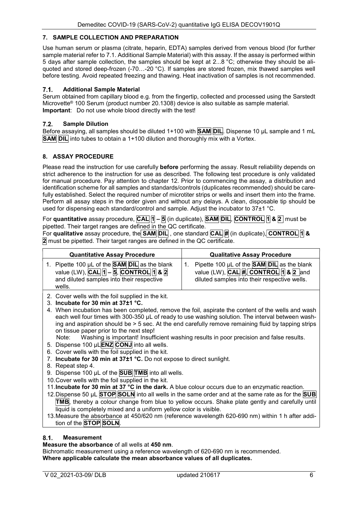## 7. SAMPLE COLLECTION AND PREPARATION

Use human serum or plasma (citrate, heparin, EDTA) samples derived from venous blood (for further sample material refer to 7.1. Additional Sample Material) with this assay. If the assay is performed within 5 days after sample collection, the samples should be kept at 2...8 °C; otherwise they should be aliquoted and stored deep-frozen (-70...-20 °C). If samples are stored frozen, mix thawed samples well before testing. Avoid repeated freezing and thawing. Heat inactivation of samples is not recommended.

#### 7.1. Additional Sample Material

Serum obtained from capillary blood e.g. from the fingertip, collected and processed using the Sarstedt Microvette® 100 Serum (product number 20.1308) device is also suitable as sample material. Important: Do not use whole blood directly with the test!

#### 7.2. Sample Dilution

Before assaying, all samples should be diluted 1+100 with **SAM DIL**. Dispense 10 µL sample and 1 mL **SAM DIL** into tubes to obtain a 1+100 dilution and thoroughly mix with a Vortex.

## 8. ASSAY PROCEDURE

Please read the instruction for use carefully **before** performing the assay. Result reliability depends on strict adherence to the instruction for use as described. The following test procedure is only validated for manual procedure. Pay attention to chapter 12. Prior to commencing the assay, a distribution and identification scheme for all samples and standards/controls (duplicates recommended) should be carefully established. Select the required number of microtiter strips or wells and insert them into the frame. Perform all assay steps in the order given and without any delays. A clean, disposable tip should be used for dispensing each standard/control and sample. Adjust the incubator to 37±1 °C.

For quantitative assay procedure,  $\overline{CAL}$  1 – 5 (in duplicate), **SAM DIL, CONTROL** 1 & 2 must be pipetted. Their target ranges are defined in the QC certificate.

For qualitative assay procedure, the  $\overline{SAM}$  DIL , one standard  $\overline{CAL}$  # (in duplicate),  $\overline{CONTROL}$  1 & 2 must be pipetted. Their target ranges are defined in the QC certificate.

| <b>Quantitative Assay Procedure</b>                                                                                                                                                                                                                                                                                                                                                                                                                                                                                                                                                                                                                                 | <b>Qualitative Assay Procedure</b>                                                                                                                                                                                                                                                                                                                                                                                                                                                                                                                                                                                                                                                                                                     |
|---------------------------------------------------------------------------------------------------------------------------------------------------------------------------------------------------------------------------------------------------------------------------------------------------------------------------------------------------------------------------------------------------------------------------------------------------------------------------------------------------------------------------------------------------------------------------------------------------------------------------------------------------------------------|----------------------------------------------------------------------------------------------------------------------------------------------------------------------------------------------------------------------------------------------------------------------------------------------------------------------------------------------------------------------------------------------------------------------------------------------------------------------------------------------------------------------------------------------------------------------------------------------------------------------------------------------------------------------------------------------------------------------------------------|
| 1. Pipette 100 µL of the <b>SAM DIL</b> as the blank<br>value (LW), $\overline{CAL}$ 1 - 5, $\overline{CONTROL}$ 1 & 2<br>and diluted samples into their respective<br>wells.                                                                                                                                                                                                                                                                                                                                                                                                                                                                                       | Pipette 100 µL of the <b>SAM DIL</b> as the blank<br>$1_{-}$<br>value (LW), $CAL$ $#$ , $CONTROL$ 1 & $2$ and<br>diluted samples into their respective wells.                                                                                                                                                                                                                                                                                                                                                                                                                                                                                                                                                                          |
| 2. Cover wells with the foil supplied in the kit.<br>3. Incubate for 30 min at $37\pm1$ °C.<br>on tissue paper prior to the next step!<br>5. Dispense 100 µLENZ CONJ into all wells.<br>6. Cover wells with the foil supplied in the kit.<br>Incubate for 30 min at 37±1 °C. Do not expose to direct sunlight.<br>7.<br>8. Repeat step 4.<br>9. Dispense 100 $\mu$ L of the <b>SUB</b> TMB into all wells.<br>10. Cover wells with the foil supplied in the kit.<br>11. Incubate for 30 min at 37 °C in the dark. A blue colour occurs due to an enzymatic reaction.<br>liquid is completely mixed and a uniform yellow color is visible.<br>tion of the STOP SOLN. | 4. When incubation has been completed, remove the foil, aspirate the content of the wells and wash<br>each well four times with 300-350 µL of ready to use washing solution. The interval between wash-<br>ing and aspiration should be > 5 sec. At the end carefully remove remaining fluid by tapping strips<br>Note: Washing is important! Insufficient washing results in poor precision and false results.<br>12. Dispense 50 µL STOP SOLN into all wells in the same order and at the same rate as for the SUB<br>$\text{TMB}$ , thereby a colour change from blue to yellow occurs. Shake plate gently and carefully until<br>13. Measure the absorbance at 450/620 nm (reference wavelength 620-690 nm) within 1 h after addi- |

Measure the absorbance of all wells at 450 nm.

Bichromatic measurement using a reference wavelength of 620-690 nm is recommended. Where applicable calculate the mean absorbance values of all duplicates.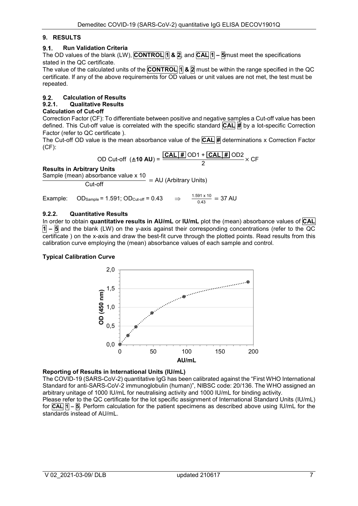## 9. RESULTS

## 9.1. Run Validation Criteria

The OD values of the blank (LW), CONTROL  $\eta$  &  $\eta$ , and CAL  $\eta$  – 5 must meet the specifications stated in the QC certificate.

The value of the calculated units of the **CONTROL**  $\eta$  &  $\eta$  must be within the range specified in the QC certificate. If any of the above requirements for OD values or unit values are not met, the test must be repeated.

# 9.2. Calculation of Results

# 9.2.1. Qualitative Results

## Calculation of Cut-off

Correction Factor (CF): To differentiate between positive and negative samples a Cut-off value has been defined. This Cut-off value is correlated with the specific standard  $\overline{CAL}$   $\overline{H}$  by a lot-specific Correction Factor (refer to QC certificate ).

The Cut-off OD value is the mean absorbance value of the  $\overline{CAL}$  # determinations x Correction Factor (CF):

OD Cut-off 
$$
(\triangle 10 \text{ AU}) = \frac{\text{CAL} \pm \text{ DO1} + \text{CAL} \pm \text{ DO2}}{2} \times \text{CF}
$$

## Results in Arbitrary Units

Sample (mean) absorbance value x 10

 $\frac{20}{\text{Cut-off}}$  = AU (Arbitrary Units)

Example:  $OD_{Sample} = 1.591$ ;  $OD_{Cut-off} = 0.43$  $\frac{1.591 \times 10}{0.43}$  = 37 AU

## 9.2.2. Quantitative Results

In order to obtain quantitative results in AU/mL or IU/mL plot the (mean) absorbance values of CAL  $\overline{1}$  –  $\overline{5}$  and the blank (LW) on the y-axis against their corresponding concentrations (refer to the QC certificate ) on the x-axis and draw the best-fit curve through the plotted points. Read results from this calibration curve employing the (mean) absorbance values of each sample and control.

## Typical Calibration Curve



## Reporting of Results in International Units (IU/mL)

The COVID-19 (SARS-CoV-2) quantitative IgG has been calibrated against the "First WHO International Standard for anti-SARS-CoV-2 immunoglobulin (human)", NIBSC code: 20/136. The WHO assigned an arbitrary unitage of 1000 IU/mL for neutralising activity and 1000 IU/mL for binding activity. Please refer to the QC certificate for the lot specific assignment of International Standard Units (IU/mL) for  $\overline{CAL}$   $\overline{A}$  –  $\overline{S}$ . Perform calculation for the patient specimens as described above using IU/mL for the

standards instead of AU/mL.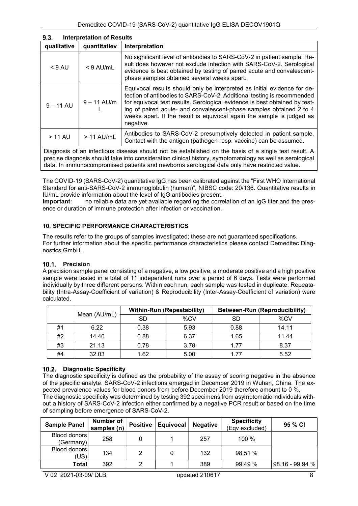| 9.3.        | <b>Interpretation of Results</b> |                                                                                                                                                                                                                                                                                                                                                                                               |  |  |  |  |  |
|-------------|----------------------------------|-----------------------------------------------------------------------------------------------------------------------------------------------------------------------------------------------------------------------------------------------------------------------------------------------------------------------------------------------------------------------------------------------|--|--|--|--|--|
| qualitative | quantitatiev                     | Interpretation                                                                                                                                                                                                                                                                                                                                                                                |  |  |  |  |  |
| $<$ 9 AU    | $< 9$ AU/mL                      | No significant level of antibodies to SARS-CoV-2 in patient sample. Re-<br>sult does however not exclude infection with SARS-CoV-2. Serological<br>evidence is best obtained by testing of paired acute and convalescent-<br>phase samples obtained several weeks apart.                                                                                                                      |  |  |  |  |  |
| $9 - 11$ AU | $9 - 11$ AU/m                    | Equivocal results should only be interpreted as initial evidence for de-<br>tection of antibodies to SARS-CoV-2. Additional testing is recommended<br>for equivocal test results. Serological evidence is best obtained by test-<br>ing of paired acute- and convalescent-phase samples obtained 2 to 4<br>weeks apart. If the result is equivocal again the sample is judged as<br>negative. |  |  |  |  |  |
| $> 11$ AU   | $> 11$ AU/mL                     | Antibodies to SARS-CoV-2 presumptively detected in patient sample.<br>Contact with the antigen (pathogen resp. vaccine) can be assumed.                                                                                                                                                                                                                                                       |  |  |  |  |  |

Diagnosis of an infectious disease should not be established on the basis of a single test result. A precise diagnosis should take into consideration clinical history, symptomatology as well as serological data. In immunocompromised patients and newborns serological data only have restricted value.

The COVID-19 (SARS-CoV-2) quantitative IgG has been calibrated against the "First WHO International Standard for anti-SARS-CoV-2 immunoglobulin (human)", NIBSC code: 20/136. Quantitative results in IU/mL provide information about the level of IgG antibodies present.

Important: no reliable data are yet available regarding the correlation of an IgG titer and the presence or duration of immune protection after infection or vaccination.

## 10. SPECIFIC PERFORMANCE CHARACTERISTICS

The results refer to the groups of samples investigated; these are not guaranteed specifications. For further information about the specific performance characteristics please contact Demeditec Diagnostics GmbH.

## 10.1. Precision

A precision sample panel consisting of a negative, a low positive, a moderate positive and a high positive sample were tested in a total of 11 independent runs over a period of 6 days. Tests were performed individually by three different persons. Within each run, each sample was tested in duplicate. Repeatability (Intra-Assay-Coefficient of variation) & Reproducibility (Inter-Assay-Coefficient of variation) were calculated.

|    |              |      | <b>Within-Run (Repeatability)</b> | <b>Between-Run (Reproducibility)</b> |       |  |
|----|--------------|------|-----------------------------------|--------------------------------------|-------|--|
|    | Mean (AU/mL) | SD   | %CV                               | SD                                   | %CV   |  |
| #1 | 6.22         | 0.38 | 5.93                              | 0.88                                 | 14.11 |  |
| #2 | 14.40        | 0.88 | 6.37                              | 1.65                                 | 11.44 |  |
| #3 | 21.13        | 0.78 | 3.78                              | 1.77                                 | 8.37  |  |
| #4 | 32.03        | 1.62 | 5.00                              | 1 77                                 | 5.52  |  |

## 10.2. Diagnostic Specificity

The diagnostic specificity is defined as the probability of the assay of scoring negative in the absence of the specific analyte. SARS-CoV-2 infections emerged in December 2019 in Wuhan, China. The expected prevalence values for blood donors from before December 2019 therefore amount to 0 %. The diagnostic specificity was determined by testing 392 specimens from asymptomatic individuals without a history of SARS-CoV-2 infection either confirmed by a negative PCR result or based on the time of sampling before emergence of SARS-CoV-2.

| <b>Sample Panel</b>       | <b>Number of</b><br>samples (n) | <b>Positive</b> | Equivocal | <b>Negative</b> | <b>Specificity</b><br>(Eqv excluded) | 95 % CI         |
|---------------------------|---------------------------------|-----------------|-----------|-----------------|--------------------------------------|-----------------|
| Blood donors<br>(Germany) | 258                             |                 |           | 257             | 100 %                                |                 |
| Blood donors<br>(US)      | 134<br>っ                        |                 |           | 132             | 98.51 %                              |                 |
| Total                     | 392                             | ◠               |           | 389             | 99.49 %                              | 98.16 - 99.94 % |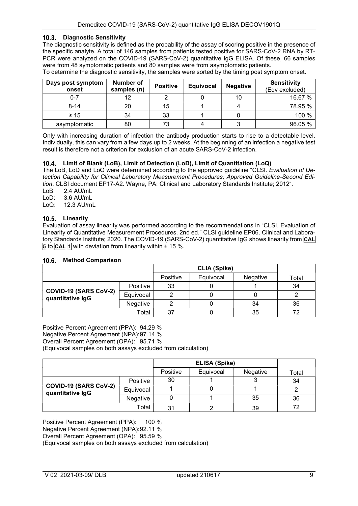#### 10.3. Diagnostic Sensitivity

The diagnostic sensitivity is defined as the probability of the assay of scoring positive in the presence of the specific analyte. A total of 146 samples from patients tested positive for SARS-CoV-2 RNA by RT-PCR were analyzed on the COVID-19 (SARS-CoV-2) quantitative IgG ELISA. Of these, 66 samples were from 48 symptomatic patients and 80 samples were from asymptomatic patients.

| Days post symptom<br>onset | Number of<br>samples (n) | <b>Positive</b> | <b>Equivocal</b> | <b>Negative</b> | <b>Sensitivity</b><br>(Eqv excluded) |
|----------------------------|--------------------------|-----------------|------------------|-----------------|--------------------------------------|
| $0 - 7$                    | 12                       |                 |                  | 10              | 16.67 %                              |
| $8 - 14$                   | 20                       | 15              |                  |                 | 78.95 %                              |
| $\geq 15$                  | 34                       | 33              |                  |                 | 100 %                                |
| asymptomatic               | 80                       | 73              |                  |                 | 96.05 %                              |

To determine the diagnostic sensitivity, the samples were sorted by the timing post symptom onset.

Only with increasing duration of infection the antibody production starts to rise to a detectable level. Individually, this can vary from a few days up to 2 weeks. At the beginning of an infection a negative test result is therefore not a criterion for exclusion of an acute SARS-CoV-2 infection.

#### Limit of Blank (LoB), Limit of Detection (LoD), Limit of Quantitation (LoQ)

The LoB, LoD and LoQ were determined according to the approved quideline "CLSI. Evaluation of Detection Capability for Clinical Laboratory Measurement Procedures; Approved Guideline-Second Edition. CLSI document EP17-A2. Wayne, PA: Clinical and Laboratory Standards Institute; 2012".

LoB: 2.4 AU/mL

LoD: 3.6 AU/mL

LoQ: 12.3 AU/mL

#### 10.5. Linearity

Evaluation of assay linearity was performed according to the recommendations in "CLSI. Evaluation of Linearity of Quantitative Measurement Procedures. 2nd ed." CLSI guideline EP06. Clinical and Laboratory Standards Institute; 2020. The COVID-19 (SARS-CoV-2) quantitative IgG shows linearity from CAL **5** to **CAL** 1 with deviation from linearity within  $\pm$  15 %.

## 10.6. Method Comparison

|                                           |           | Positive | Equivocal | Negative | Total |
|-------------------------------------------|-----------|----------|-----------|----------|-------|
| COVID-19 (SARS CoV-2)<br>quantitative IgG | Positive  | 33       |           |          | 34    |
|                                           | Equivocal |          |           |          |       |
|                                           | Negative  |          |           | 34       | 36    |
| Total                                     |           | 37       |           | 35       | 72    |

Positive Percent Agreement (PPA): 94.29 % Negative Percent Agreement (NPA): 97.14 % Overall Percent Agreement (OPA): 95.71 %

(Equivocal samples on both assays excluded from calculation)

|                                           |           | Positive | Equivocal | Negative | Total |
|-------------------------------------------|-----------|----------|-----------|----------|-------|
| COVID-19 (SARS CoV-2)<br>quantitative IgG | Positive  | 30       |           | J        | 34    |
|                                           | Equivocal |          |           |          |       |
|                                           | Negative  |          |           | 35       | 36    |
| Total                                     |           | 31       |           | 39       | 77    |

Positive Percent Agreement (PPA): 100 % Negative Percent Agreement (NPA): 92.11 % Overall Percent Agreement (OPA): 95.59 % (Equivocal samples on both assays excluded from calculation)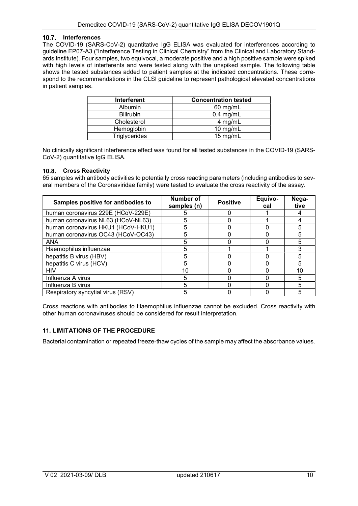## 10.7. Interferences

The COVID-19 (SARS-CoV-2) quantitative IgG ELISA was evaluated for interferences according to guideline EP07-A3 ("Interference Testing in Clinical Chemistry" from the Clinical and Laboratory Standards Institute). Four samples, two equivocal, a moderate positive and a high positive sample were spiked with high levels of interferents and were tested along with the unspiked sample. The following table shows the tested substances added to patient samples at the indicated concentrations. These correspond to the recommendations in the CLSI guideline to represent pathological elevated concentrations in patient samples.

| <b>Interferent</b>   | <b>Concentration tested</b> |
|----------------------|-----------------------------|
| <b>Albumin</b>       | $60$ mg/mL                  |
| <b>Bilirubin</b>     | $0.4$ mg/mL                 |
| Cholesterol          | 4 mg/mL                     |
| Hemoglobin           | $10$ mg/mL                  |
| <b>Triglycerides</b> | 15 mg/mL                    |

No clinically significant interference effect was found for all tested substances in the COVID-19 (SARS-CoV-2) quantitative IgG ELISA.

#### 10.8. Cross Reactivity

65 samples with antibody activities to potentially cross reacting parameters (including antibodies to several members of the Coronaviridae family) were tested to evaluate the cross reactivity of the assay.

| Samples positive for antibodies to | <b>Number of</b><br>samples (n) | <b>Positive</b> | Equivo-<br>cal | Nega-<br>tive |
|------------------------------------|---------------------------------|-----------------|----------------|---------------|
| human coronavirus 229E (HCoV-229E) |                                 |                 |                |               |
| human coronavirus NL63 (HCoV-NL63) |                                 |                 |                |               |
| human coronavirus HKU1 (HCoV-HKU1) | 5                               |                 |                | 5             |
| human coronavirus OC43 (HCoV-OC43) | 5                               |                 |                | 5             |
| <b>ANA</b>                         |                                 |                 |                | 5             |
| Haemophilus influenzae             | h.                              |                 |                |               |
| hepatitis B virus (HBV)            |                                 |                 |                | 5             |
| hepatitis C virus (HCV)            |                                 |                 |                | 5             |
| <b>HIV</b>                         | 10                              |                 |                | 10            |
| Influenza A virus                  |                                 |                 |                | 5             |
| Influenza B virus                  |                                 |                 |                | 5             |
| Respiratory syncytial virus (RSV)  |                                 |                 |                |               |

Cross reactions with antibodies to Haemophilus influenzae cannot be excluded. Cross reactivity with other human coronaviruses should be considered for result interpretation.

#### 11. LIMITATIONS OF THE PROCEDURE

Bacterial contamination or repeated freeze-thaw cycles of the sample may affect the absorbance values.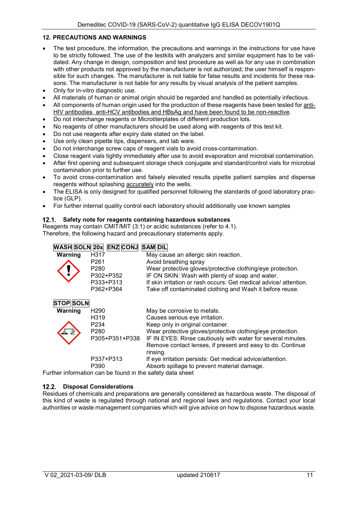## 12. PRECAUTIONS AND WARNINGS

- The test procedure, the information, the precautions and warnings in the instructions for use have to be strictly followed. The use of the testkits with analyzers and similar equipment has to be validated. Any change in design, composition and test procedure as well as for any use in combination with other products not approved by the manufacturer is not authorized; the user himself is responsible for such changes. The manufacturer is not liable for false results and incidents for these reasons. The manufacturer is not liable for any results by visual analysis of the patient samples.
- Only for in-vitro diagnostic use.
- All materials of human or animal origin should be regarded and handled as potentially infectious.
- All components of human origin used for the production of these reagents have been tested for anti-HIV antibodies, anti-HCV antibodies and HBsAg and have been found to be non-reactive.
- Do not interchange reagents or Microtiterplates of different production lots.
- No reagents of other manufacturers should be used along with reagents of this test kit.
- Do not use reagents after expiry date stated on the label.
- Use only clean pipette tips, dispensers, and lab ware.
- Do not interchange screw caps of reagent vials to avoid cross-contamination.
- Close reagent vials tightly immediately after use to avoid evaporation and microbial contamination.
- After first opening and subsequent storage check conjugate and standard/control vials for microbial contamination prior to further use.
- To avoid cross-contamination and falsely elevated results pipette patient samples and dispense reagents without splashing **accurately** into the wells.
- The ELISA is only designed for qualified personnel following the standards of good laboratory practice (GLP).
- For further internal quality control each laboratory should additionally use known samples

## 12.1. Safety note for reagents containing hazardous substances

Reagents may contain CMIT/MIT (3:1) or acidic substances (refer to 4.1). Therefore, the following hazard and precautionary statements apply.

| <b>WASH SOLN 20x</b><br><b>ENZ CONJ</b><br><b>SAM DIL</b> |                                                        |                                                                  |  |  |  |
|-----------------------------------------------------------|--------------------------------------------------------|------------------------------------------------------------------|--|--|--|
| Warning                                                   | H317                                                   | May cause an allergic skin reaction.                             |  |  |  |
|                                                           | P <sub>261</sub>                                       | Avoid breathing spray                                            |  |  |  |
|                                                           | P <sub>280</sub>                                       | Wear protective gloves/protective clothing/eye protection.       |  |  |  |
|                                                           | P302+P352                                              | IF ON SKIN: Wash with plenty of soap and water.                  |  |  |  |
|                                                           | P333+P313                                              | If skin irritation or rash occurs: Get medical advice/attention. |  |  |  |
|                                                           | P362+P364                                              | Take off contaminated clothing and Wash it before reuse.         |  |  |  |
| <b>STOP SOLN</b>                                          |                                                        |                                                                  |  |  |  |
| Warning                                                   | H <sub>290</sub>                                       | May be corrosive to metals.                                      |  |  |  |
|                                                           | H319                                                   | Causes serious eye irritation.                                   |  |  |  |
|                                                           | P <sub>234</sub>                                       | Keep only in original container.                                 |  |  |  |
|                                                           | P280                                                   | Wear protective gloves/protective clothing/eye protection.       |  |  |  |
|                                                           | P305+P351+P338                                         | IF IN EYES: Rinse cautiously with water for several minutes.     |  |  |  |
|                                                           |                                                        | Remove contact lenses, if present and easy to do. Continue       |  |  |  |
|                                                           |                                                        | rinsing.                                                         |  |  |  |
|                                                           | P337+P313                                              | If eye irritation persists: Get medical advice/attention.        |  |  |  |
|                                                           | P390                                                   | Absorb spillage to prevent material damage.                      |  |  |  |
|                                                           | ther information can be found in the safety data sheet |                                                                  |  |  |  |

Further information can be found in the safety data sheet

#### 12.2. Disposal Considerations

Residues of chemicals and preparations are generally considered as hazardous waste. The disposal of this kind of waste is regulated through national and regional laws and regulations. Contact your local authorities or waste management companies which will give advice on how to dispose hazardous waste.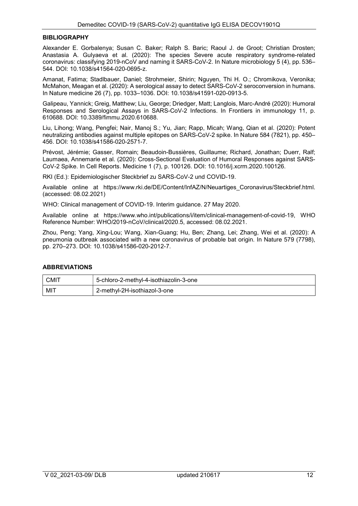#### **BIBLIOGRAPHY**

Alexander E. Gorbalenya; Susan C. Baker; Ralph S. Baric; Raoul J. de Groot; Christian Drosten; Anastasia A. Gulyaeva et al. (2020): The species Severe acute respiratory syndrome-related coronavirus: classifying 2019-nCoV and naming it SARS-CoV-2. In Nature microbiology 5 (4), pp. 536– 544. DOI: 10.1038/s41564-020-0695-z.

Amanat, Fatima; Stadlbauer, Daniel; Strohmeier, Shirin; Nguyen, Thi H. O.; Chromikova, Veronika; McMahon, Meagan et al. (2020): A serological assay to detect SARS-CoV-2 seroconversion in humans. In Nature medicine 26 (7), pp. 1033–1036. DOI: 10.1038/s41591-020-0913-5.

Galipeau, Yannick; Greig, Matthew; Liu, George; Driedger, Matt; Langlois, Marc-André (2020): Humoral Responses and Serological Assays in SARS-CoV-2 Infections. In Frontiers in immunology 11, p. 610688. DOI: 10.3389/fimmu.2020.610688.

Liu, Lihong; Wang, Pengfei; Nair, Manoj S.; Yu, Jian; Rapp, Micah; Wang, Qian et al. (2020): Potent neutralizing antibodies against multiple epitopes on SARS-CoV-2 spike. In Nature 584 (7821), pp. 450– 456. DOI: 10.1038/s41586-020-2571-7.

Prévost, Jérémie; Gasser, Romain; Beaudoin-Bussières, Guillaume; Richard, Jonathan; Duerr, Ralf; Laumaea, Annemarie et al. (2020): Cross-Sectional Evaluation of Humoral Responses against SARS-CoV-2 Spike. In Cell Reports. Medicine 1 (7), p. 100126. DOI: 10.1016/j.xcrm.2020.100126.

RKI (Ed.): Epidemiologischer Steckbrief zu SARS-CoV-2 und COVID-19.

Available online at https://www.rki.de/DE/Content/InfAZ/N/Neuartiges\_Coronavirus/Steckbrief.html. (accessed: 08.02.2021)

WHO: Clinical management of COVID-19. Interim guidance. 27 May 2020.

Available online at https://www.who.int/publications/i/item/clinical-management-of-covid-19, WHO Reference Number: WHO/2019-nCoV/clinical/2020.5, accessed: 08.02.2021.

Zhou, Peng; Yang, Xing-Lou; Wang, Xian-Guang; Hu, Ben; Zhang, Lei; Zhang, Wei et al. (2020): A pneumonia outbreak associated with a new coronavirus of probable bat origin. In Nature 579 (7798), pp. 270–273. DOI: 10.1038/s41586-020-2012-7.

## ABBREVIATIONS

| <b>CMIT</b> | 5-chloro-2-methyl-4-isothiazolin-3-one |  |
|-------------|----------------------------------------|--|
| MIT         | 2-methyl-2H-isothiazol-3-one           |  |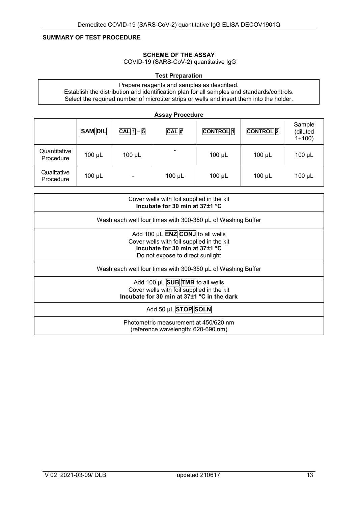## SUMMARY OF TEST PROCEDURE

#### SCHEME OF THE ASSAY

COVID-19 (SARS-CoV-2) quantitative IgG

## Test Preparation

Prepare reagents and samples as described. Establish the distribution and identification plan for all samples and standards/controls. Select the required number of microtiter strips or wells and insert them into the holder.

|                           | <b>SAM DIL</b> | $CAL$ $1 - 5$  | <b>Assay Procedure</b><br>$CAL$ # | <b>CONTROL</b> <sup>1</sup> | <b>CONTROL</b> 2 | Sample<br>(diluted<br>$1+100$ ) |
|---------------------------|----------------|----------------|-----------------------------------|-----------------------------|------------------|---------------------------------|
| Quantitative<br>Procedure | $100 \mu L$    | $100 \mu L$    | ۰                                 | $100 \mu L$                 | 100 µL           | $100 \mu L$                     |
| Qualitative<br>Procedure  | $100 \mu L$    | $\blacksquare$ | $100 \mu L$                       | $100 \mu L$                 | $100 \mu L$      | 100 µL                          |

| Cover wells with foil supplied in the kit<br>Incubate for 30 min at 37±1 °C                                                                                    |
|----------------------------------------------------------------------------------------------------------------------------------------------------------------|
| Wash each well four times with 300-350 µL of Washing Buffer                                                                                                    |
| Add 100 µL <b>ENZ</b> CONJ to all wells<br>Cover wells with foil supplied in the kit<br>Incubate for 30 min at $37\pm1$ °C<br>Do not expose to direct sunlight |
| Wash each well four times with 300-350 µL of Washing Buffer                                                                                                    |
| Add 100 $\mu$ L SUB TMB to all wells<br>Cover wells with foil supplied in the kit<br>Incubate for 30 min at 37±1 °C in the dark                                |
| Add 50 µL STOP SOLN                                                                                                                                            |
| Photometric measurement at 450/620 nm<br>(reference wavelength: 620-690 nm)                                                                                    |